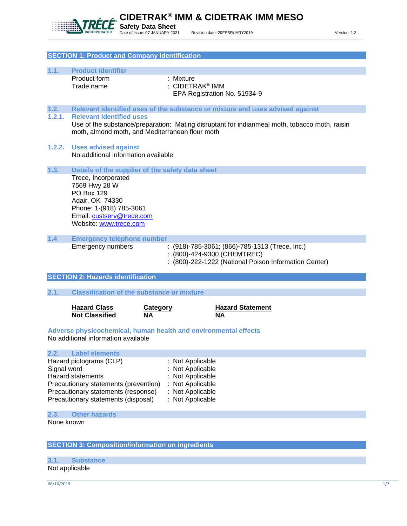

**CIDETRAK® IMM & CIDETRAK IMM MESO**

# **SECTION 1: Product and Company Identification**

| 1.1.                                                     | <b>Product Identifier</b>                         |                                                                                               |
|----------------------------------------------------------|---------------------------------------------------|-----------------------------------------------------------------------------------------------|
|                                                          | Product form                                      | : Mixture                                                                                     |
|                                                          | Trade name                                        | : CIDETRAK <sup>®</sup> IMM                                                                   |
|                                                          |                                                   | EPA Registration No. 51934-9                                                                  |
|                                                          |                                                   |                                                                                               |
| 1.2.                                                     |                                                   | Relevant identified uses of the substance or mixture and uses advised against                 |
| 1.2.1.                                                   | <b>Relevant identified uses</b>                   |                                                                                               |
|                                                          |                                                   | Use of the substance/preparation: Mating disruptant for indianmeal moth, tobacco moth, raisin |
|                                                          | moth, almond moth, and Mediterranean flour moth   |                                                                                               |
|                                                          |                                                   |                                                                                               |
| 1.2.2.                                                   | <b>Uses advised against</b>                       |                                                                                               |
|                                                          | No additional information available               |                                                                                               |
|                                                          |                                                   |                                                                                               |
| 1.3.                                                     | Details of the supplier of the safety data sheet  |                                                                                               |
|                                                          | Trece, Incorporated                               |                                                                                               |
|                                                          | 7569 Hwy 28 W                                     |                                                                                               |
|                                                          | <b>PO Box 129</b>                                 |                                                                                               |
|                                                          | Adair, OK 74330                                   |                                                                                               |
|                                                          | Phone: 1-(918) 785-3061                           |                                                                                               |
|                                                          | Email: custserv@trece.com                         |                                                                                               |
|                                                          | Website: www.trece.com                            |                                                                                               |
|                                                          |                                                   |                                                                                               |
| 1.4                                                      | <b>Emergency telephone number</b>                 |                                                                                               |
|                                                          | <b>Emergency numbers</b>                          | $: (918)$ -785-3061; (866)-785-1313 (Trece, Inc.)                                             |
|                                                          |                                                   | (800)-424-9300 (CHEMTREC)                                                                     |
|                                                          |                                                   | (800)-222-1222 (National Poison Information Center)                                           |
|                                                          |                                                   |                                                                                               |
|                                                          | <b>SECTION 2: Hazards identification</b>          |                                                                                               |
|                                                          |                                                   |                                                                                               |
| 2.1.                                                     | <b>Classification of the substance or mixture</b> |                                                                                               |
|                                                          |                                                   |                                                                                               |
|                                                          | <b>Hazard Class</b>                               | <b>Hazard Statement</b><br><b>Category</b>                                                    |
|                                                          | <b>Not Classified</b><br>ΝA                       | <b>NA</b>                                                                                     |
|                                                          |                                                   |                                                                                               |
|                                                          |                                                   | Adverse physicochemical, human health and environmental effects                               |
|                                                          | No additional information available               |                                                                                               |
|                                                          |                                                   |                                                                                               |
| 2.2.                                                     | <b>Label elements</b>                             |                                                                                               |
|                                                          |                                                   | Not Applicable                                                                                |
| Hazard pictograms (CLP)<br>Not Applicable<br>Signal word |                                                   |                                                                                               |
| <b>Hazard statements</b><br>Not Applicable               |                                                   |                                                                                               |
| Precautionary statements (prevention)<br>Not Applicable  |                                                   |                                                                                               |
|                                                          | Precautionary statements (response)               | Not Applicable                                                                                |
|                                                          | Precautionary statements (disposal)               | : Not Applicable                                                                              |
|                                                          |                                                   |                                                                                               |
| 2.3.                                                     | <b>Other hazards</b>                              |                                                                                               |
| None known                                               |                                                   |                                                                                               |
|                                                          |                                                   |                                                                                               |
|                                                          |                                                   |                                                                                               |
|                                                          |                                                   |                                                                                               |

**SECTION 3: Composition/information on ingredients**

**3.1. Substance** Not applicable

08/16/2019 1/7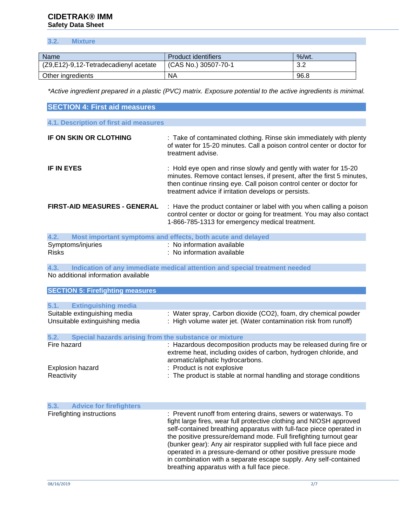# **CIDETRAK® IMM Safety Data Sheet**

# **3.2. Mixture**

| <b>Name</b>                           | Product identifiers  | $%$ /wt.   |
|---------------------------------------|----------------------|------------|
| (Z9,E12)-9,12-Tetradecadienyl acetate | (CAS No.) 30507-70-1 | າ າ<br>ے.د |
| Other ingredients                     | <b>NA</b>            | 96.8       |

*\*Active ingredient prepared in a plastic (PVC) matrix. Exposure potential to the active ingredients is minimal.* 

| <b>SECTION 4: First aid measures</b>                           |                                                                                                                                                                                                                                                                                   |
|----------------------------------------------------------------|-----------------------------------------------------------------------------------------------------------------------------------------------------------------------------------------------------------------------------------------------------------------------------------|
| 4.1. Description of first aid measures                         |                                                                                                                                                                                                                                                                                   |
| <b>IF ON SKIN OR CLOTHING</b>                                  | : Take of contaminated clothing. Rinse skin immediately with plenty<br>of water for 15-20 minutes. Call a poison control center or doctor for<br>treatment advise.                                                                                                                |
| <b>IF IN EYES</b>                                              | : Hold eye open and rinse slowly and gently with water for 15-20<br>minutes. Remove contact lenses, if present, after the first 5 minutes,<br>then continue rinsing eye. Call poison control center or doctor for<br>treatment advice if irritation develops or persists.         |
| <b>FIRST-AID MEASURES - GENERAL</b>                            | : Have the product container or label with you when calling a poison<br>control center or doctor or going for treatment. You may also contact<br>1-866-785-1313 for emergency medical treatment.                                                                                  |
| 4.2.                                                           | Most important symptoms and effects, both acute and delayed                                                                                                                                                                                                                       |
| Symptoms/injuries<br><b>Risks</b>                              | : No information available<br>: No information available                                                                                                                                                                                                                          |
| 4.3.<br>No additional information available                    | Indication of any immediate medical attention and special treatment needed                                                                                                                                                                                                        |
| <b>SECTION 5: Firefighting measures</b>                        |                                                                                                                                                                                                                                                                                   |
| <b>Extinguishing media</b><br>5.1.                             |                                                                                                                                                                                                                                                                                   |
| Suitable extinguishing media<br>Unsuitable extinguishing media | : Water spray, Carbon dioxide (CO2), foam, dry chemical powder<br>: High volume water jet. (Water contamination risk from runoff)                                                                                                                                                 |
| 5.2.<br>Special hazards arising from the substance or mixture  |                                                                                                                                                                                                                                                                                   |
| Fire hazard                                                    | : Hazardous decomposition products may be released during fire or<br>extreme heat, including oxides of carbon, hydrogen chloride, and<br>aromatic/aliphatic hydrocarbons.                                                                                                         |
| <b>Explosion hazard</b><br>Reactivity                          | : Product is not explosive<br>: The product is stable at normal handling and storage conditions                                                                                                                                                                                   |
| 5.3.<br><b>Advice for firefighters</b>                         |                                                                                                                                                                                                                                                                                   |
| Firefighting instructions                                      | : Prevent runoff from entering drains, sewers or waterways. To<br>fight large fires, wear full protective clothing and NIOSH approved<br>self-contained breathing apparatus with full-face piece operated in<br>the positive pressure/demand mode. Full firefighting turnout gear |

(bunker gear): Any air respirator supplied with full face piece and operated in a pressure-demand or other positive pressure mode in combination with a separate escape supply. Any self-contained breathing apparatus with a full face piece.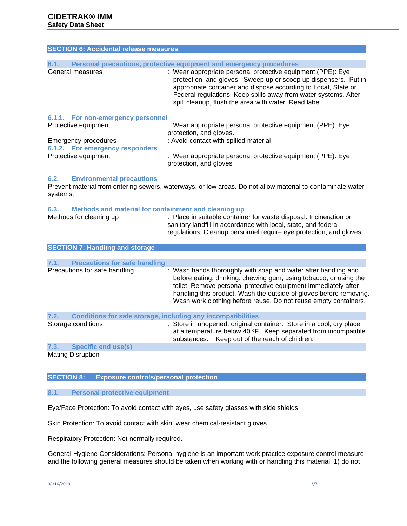| <b>SECTION 6: Accidental release measures</b> |                                                                                                                                                                                                                                                                                                                              |
|-----------------------------------------------|------------------------------------------------------------------------------------------------------------------------------------------------------------------------------------------------------------------------------------------------------------------------------------------------------------------------------|
|                                               |                                                                                                                                                                                                                                                                                                                              |
| 6.1.                                          | Personal precautions, protective equipment and emergency procedures                                                                                                                                                                                                                                                          |
| General measures                              | : Wear appropriate personal protective equipment (PPE): Eye<br>protection, and gloves. Sweep up or scoop up dispensers. Put in<br>appropriate container and dispose according to Local, State or<br>Federal regulations. Keep spills away from water systems. After<br>spill cleanup, flush the area with water. Read label. |
| 6.1.1. For non-emergency personnel            |                                                                                                                                                                                                                                                                                                                              |
| Protective equipment                          | : Wear appropriate personal protective equipment (PPE): Eye<br>protection, and gloves.                                                                                                                                                                                                                                       |
| <b>Emergency procedures</b>                   | : Avoid contact with spilled material                                                                                                                                                                                                                                                                                        |

| Elliergency procedures          | . Avoid contact with splited material                       |
|---------------------------------|-------------------------------------------------------------|
| 6.1.2. For emergency responders |                                                             |
| Protective equipment            | : Wear appropriate personal protective equipment (PPE): Eye |
|                                 | protection, and gloves                                      |

# **6.2. Environmental precautions**

Prevent material from entering sewers, waterways, or low areas. Do not allow material to contaminate water systems.

# **6.3. Methods and material for containment and cleaning up**

| Methods for cleaning up | : Place in suitable container for waste disposal. Incineration or  |
|-------------------------|--------------------------------------------------------------------|
|                         | sanitary landfill in accordance with local, state, and federal     |
|                         | regulations. Cleanup personnel require eye protection, and gloves. |

|      | <b>SECTION 7: Handling and storage</b>                       |                                                                                                                                                                                                                                                                                                                                                |
|------|--------------------------------------------------------------|------------------------------------------------------------------------------------------------------------------------------------------------------------------------------------------------------------------------------------------------------------------------------------------------------------------------------------------------|
|      |                                                              |                                                                                                                                                                                                                                                                                                                                                |
| 7.1. | <b>Precautions for safe handling</b>                         |                                                                                                                                                                                                                                                                                                                                                |
|      | Precautions for safe handling                                | : Wash hands thoroughly with soap and water after handling and<br>before eating, drinking, chewing gum, using tobacco, or using the<br>toilet. Remove personal protective equipment immediately after<br>handling this product. Wash the outside of gloves before removing.<br>Wash work clothing before reuse. Do not reuse empty containers. |
| 7.2. | Conditions for safe storage, including any incompatibilities |                                                                                                                                                                                                                                                                                                                                                |

| Storage conditions |                     | : Store in unopened, original container. Store in a cool, dry place<br>at a temperature below 40 $\textdegree$ F. Keep separated from incompatible<br>substances. Keep out of the reach of children. |
|--------------------|---------------------|------------------------------------------------------------------------------------------------------------------------------------------------------------------------------------------------------|
| 7.3.               | Specific end use(s) |                                                                                                                                                                                                      |
|                    |                     |                                                                                                                                                                                                      |

Mating Disruption

# **SECTION 8: Exposure controls/personal protection**

#### **8.1. Personal protective equipment**

Eye/Face Protection: To avoid contact with eyes, use safety glasses with side shields.

Skin Protection: To avoid contact with skin, wear chemical-resistant gloves.

Respiratory Protection: Not normally required.

General Hygiene Considerations: Personal hygiene is an important work practice exposure control measure and the following general measures should be taken when working with or handling this material: 1) do not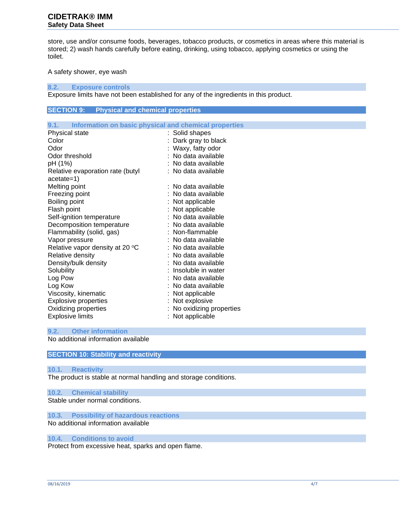# **CIDETRAK® IMM Safety Data Sheet**

store, use and/or consume foods, beverages, tobacco products, or cosmetics in areas where this material is stored; 2) wash hands carefully before eating, drinking, using tobacco, applying cosmetics or using the toilet.

A safety shower, eye wash

**8.2. Exposure controls**

Exposure limits have not been established for any of the ingredients in this product.

# **SECTION 9: Physical and chemical properties**

| 9.1. Information on basic physical and chemical properties |                         |
|------------------------------------------------------------|-------------------------|
| Physical state                                             | : Solid shapes          |
| Color                                                      | : Dark gray to black    |
| Odor                                                       | : Waxy, fatty odor      |
| Odor threshold                                             | : No data available     |
| pH (1%)                                                    | : No data available     |
| Relative evaporation rate (butyl                           | : No data available     |
| $acetate=1)$                                               |                         |
| Melting point                                              | : No data available     |
| Freezing point                                             | : No data available     |
| Boiling point                                              | Not applicable          |
| Flash point                                                | Not applicable          |
| Self-ignition temperature                                  | : No data available     |
| Decomposition temperature                                  | : No data available     |
| Flammability (solid, gas)                                  | : Non-flammable         |
| Vapor pressure                                             | : No data available     |
| Relative vapor density at 20 °C                            | : No data available     |
| Relative density                                           | : No data available     |
| Density/bulk density                                       | : No data available     |
| Solubility                                                 | : Insoluble in water    |
| Log Pow                                                    | : No data available     |
| Log Kow                                                    | : No data available     |
| Viscosity, kinematic                                       | : Not applicable        |
| <b>Explosive properties</b>                                | : Not explosive         |
| Oxidizing properties                                       | No oxidizing properties |
| <b>Explosive limits</b>                                    | : Not applicable        |

### **9.2. Other information**

No additional information available

# **SECTION 10: Stability and reactivity**

#### **10.1. Reactivity**

The product is stable at normal handling and storage conditions.

**10.2. Chemical stability** Stable under normal conditions.

**10.3. Possibility of hazardous reactions** No additional information available

# **10.4. Conditions to avoid**

Protect from excessive heat, sparks and open flame.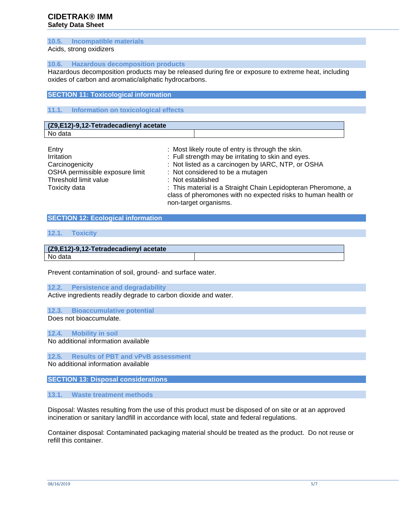# **CIDETRAK® IMM Safety Data Sheet**

#### **10.5. Incompatible materials**

Acids, strong oxidizers

#### **10.6. Hazardous decomposition products**

Hazardous decomposition products may be released during fire or exposure to extreme heat, including oxides of carbon and aromatic/aliphatic hydrocarbons.

# **SECTION 11: Toxicological information**

# **11.1. Information on toxicological effects**

# **(Z9,E12)-9,12-Tetradecadienyl acetate**

No data

| Entry                           | : Most likely route of entry is through the skin.                                                                                                       |
|---------------------------------|---------------------------------------------------------------------------------------------------------------------------------------------------------|
| Irritation                      | : Full strength may be irritating to skin and eyes.                                                                                                     |
| Carcinogenicity                 | : Not listed as a carcinogen by IARC, NTP, or OSHA                                                                                                      |
| OSHA permissible exposure limit | : Not considered to be a mutagen                                                                                                                        |
| Threshold limit value           | : Not established                                                                                                                                       |
| Toxicity data                   | : This material is a Straight Chain Lepidopteran Pheromone, a<br>class of pheromones with no expected risks to human health or<br>non-target organisms. |

# **SECTION 12: Ecological information**

### **12.1. Toxicity**

| (Z9,E12)-9,12-Tetradecadienyl acetate |  |  |
|---------------------------------------|--|--|
| No data                               |  |  |

Prevent contamination of soil, ground- and surface water.

**12.2. Persistence and degradability**

Active ingredients readily degrade to carbon dioxide and water.

#### **12.3. Bioaccumulative potential**

Does not bioaccumulate.

#### **12.4. Mobility in soil**

No additional information available

**12.5. Results of PBT and vPvB assessment**

No additional information available

### **SECTION 13: Disposal considerations**

### **13.1. Waste treatment methods**

Disposal: Wastes resulting from the use of this product must be disposed of on site or at an approved incineration or sanitary landfill in accordance with local, state and federal regulations.

Container disposal: Contaminated packaging material should be treated as the product. Do not reuse or refill this container.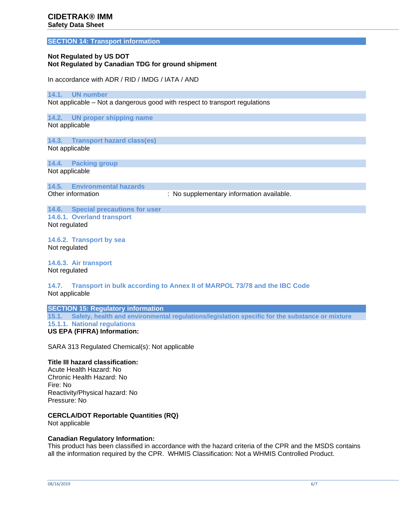#### **SECTION 14: Transport information**

# **Not Regulated by US DOT Not Regulated by Canadian TDG for ground shipment**

In accordance with ADR / RID / IMDG / IATA / AND

#### **14.1. UN number**

Not applicable – Not a dangerous good with respect to transport regulations

**14.2. UN proper shipping name** Not applicable

**14.3. Transport hazard class(es)** Not applicable

**14.4. Packing group** Not applicable

**14.5. Environmental hazards**

: No supplementary information available.

**14.6. Special precautions for user 14.6.1. Overland transport** Not regulated

**14.6.2. Transport by sea** Not regulated

**14.6.3. Air transport** Not regulated

**14.7. Transport in bulk according to Annex II of MARPOL 73/78 and the IBC Code** Not applicable

**SECTION 15: Regulatory information 15.1. Safety, health and environmental regulations/legislation specific for the substance or mixture 15.1.1. National regulations US EPA (FIFRA) Information:**

SARA 313 Regulated Chemical(s): Not applicable

# **Title III hazard classification:**

Acute Health Hazard: No Chronic Health Hazard: No Fire: No Reactivity/Physical hazard: No Pressure: No

### **CERCLA/DOT Reportable Quantities (RQ)**

Not applicable

# **Canadian Regulatory Information:**

This product has been classified in accordance with the hazard criteria of the CPR and the MSDS contains all the information required by the CPR. WHMIS Classification: Not a WHMIS Controlled Product.